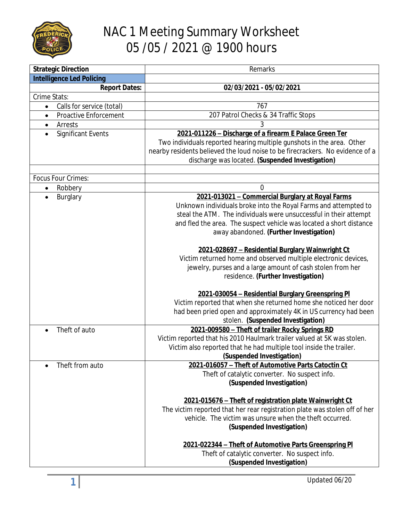

## NAC 1 Meeting Summary Worksheet 05 /05 / 2021 @ 1900 hours

| <b>Strategic Direction</b>                | Remarks                                                                       |
|-------------------------------------------|-------------------------------------------------------------------------------|
| <b>Intelligence Led Policing</b>          |                                                                               |
| <b>Report Dates:</b>                      | 02/03/2021 - 05/02/2021                                                       |
| Crime Stats:                              |                                                                               |
| Calls for service (total)<br>$\bullet$    | 767                                                                           |
| <b>Proactive Enforcement</b><br>$\bullet$ | 207 Patrol Checks & 34 Traffic Stops                                          |
| Arrests<br>$\bullet$                      | 3                                                                             |
| <b>Significant Events</b>                 | 2021-011226 - Discharge of a firearm E Palace Green Ter                       |
|                                           | Two individuals reported hearing multiple gunshots in the area. Other         |
|                                           | nearby residents believed the loud noise to be firecrackers. No evidence of a |
|                                           | discharge was located. (Suspended Investigation)                              |
|                                           |                                                                               |
| Focus Four Crimes:                        |                                                                               |
| Robbery<br>$\bullet$                      | 0                                                                             |
| Burglary<br>$\bullet$                     | 2021-013021 - Commercial Burglary at Royal Farms                              |
|                                           | Unknown individuals broke into the Royal Farms and attempted to               |
|                                           | steal the ATM. The individuals were unsuccessful in their attempt             |
|                                           | and fled the area. The suspect vehicle was located a short distance           |
|                                           | away abandoned. (Further Investigation)                                       |
|                                           |                                                                               |
|                                           | 2021-028697 - Residential Burglary Wainwright Ct                              |
|                                           | Victim returned home and observed multiple electronic devices,                |
|                                           | jewelry, purses and a large amount of cash stolen from her                    |
|                                           | residence. (Further Investigation)                                            |
|                                           | 2021-030054 - Residential Burglary Greenspring PI                             |
|                                           | Victim reported that when she returned home she noticed her door              |
|                                           | had been pried open and approximately 4K in US currency had been              |
|                                           | stolen. (Suspended Investigation)                                             |
| Theft of auto                             | 2021-009580 - Theft of trailer Rocky Springs RD                               |
|                                           | Victim reported that his 2010 Haulmark trailer valued at 5K was stolen.       |
|                                           | Victim also reported that he had multiple tool inside the trailer.            |
|                                           | (Suspended Investigation)                                                     |
| Theft from auto                           | 2021-016057 - Theft of Automotive Parts Catoctin Ct                           |
|                                           | Theft of catalytic converter. No suspect info.                                |
|                                           | (Suspended Investigation)                                                     |
|                                           |                                                                               |
|                                           | 2021-015676 - Theft of registration plate Wainwright Ct                       |
|                                           | The victim reported that her rear registration plate was stolen off of her    |
|                                           | vehicle. The victim was unsure when the theft occurred.                       |
|                                           | (Suspended Investigation)                                                     |
|                                           |                                                                               |
|                                           | 2021-022344 - Theft of Automotive Parts Greenspring PI                        |
|                                           | Theft of catalytic converter. No suspect info.                                |
|                                           | (Suspended Investigation)                                                     |